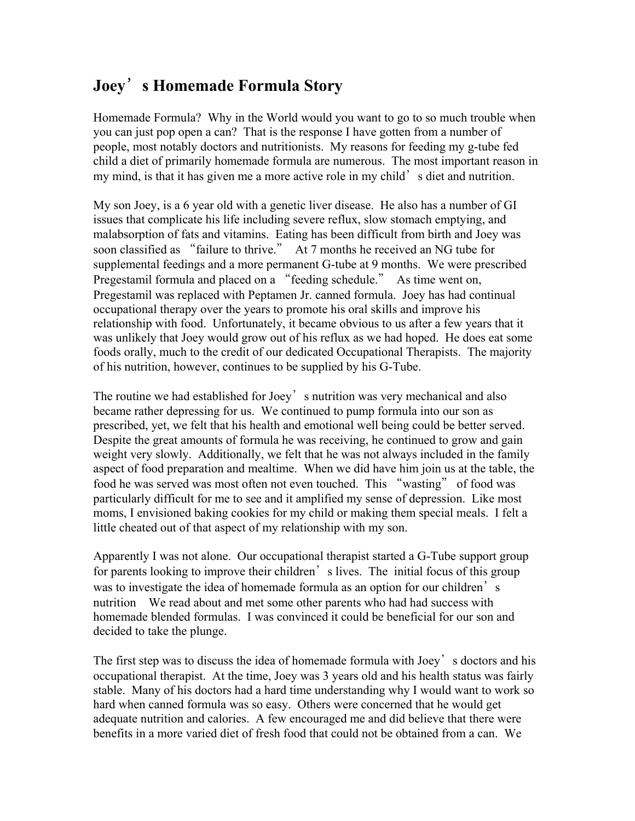## **Joey**'**s Homemade Formula Story**

Homemade Formula? Why in the World would you want to go to so much trouble when you can just pop open a can? That is the response I have gotten from a number of people, most notably doctors and nutritionists. My reasons for feeding my g-tube fed child a diet of primarily homemade formula are numerous. The most important reason in my mind, is that it has given me a more active role in my child's diet and nutrition.

My son Joey, is a 6 year old with a genetic liver disease. He also has a number of GI issues that complicate his life including severe reflux, slow stomach emptying, and malabsorption of fats and vitamins. Eating has been difficult from birth and Joey was soon classified as "failure to thrive." At 7 months he received an NG tube for supplemental feedings and a more permanent G-tube at 9 months. We were prescribed Pregestamil formula and placed on a "feeding schedule." As time went on, Pregestamil was replaced with Peptamen Jr. canned formula. Joey has had continual occupational therapy over the years to promote his oral skills and improve his relationship with food. Unfortunately, it became obvious to us after a few years that it was unlikely that Joey would grow out of his reflux as we had hoped. He does eat some foods orally, much to the credit of our dedicated Occupational Therapists. The majority of his nutrition, however, continues to be supplied by his G-Tube.

The routine we had established for Joey's nutrition was very mechanical and also became rather depressing for us. We continued to pump formula into our son as prescribed, yet, we felt that his health and emotional well being could be better served. Despite the great amounts of formula he was receiving, he continued to grow and gain weight very slowly. Additionally, we felt that he was not always included in the family aspect of food preparation and mealtime. When we did have him join us at the table, the food he was served was most often not even touched. This "wasting" of food was particularly difficult for me to see and it amplified my sense of depression. Like most moms, I envisioned baking cookies for my child or making them special meals. I felt a little cheated out of that aspect of my relationship with my son.

Apparently I was not alone. Our occupational therapist started a G-Tube support group for parents looking to improve their children's lives. The initial focus of this group was to investigate the idea of homemade formula as an option for our children's nutrition We read about and met some other parents who had had success with homemade blended formulas. I was convinced it could be beneficial for our son and decided to take the plunge.

The first step was to discuss the idea of homemade formula with Joey's doctors and his occupational therapist. At the time, Joey was 3 years old and his health status was fairly stable. Many of his doctors had a hard time understanding why I would want to work so hard when canned formula was so easy. Others were concerned that he would get adequate nutrition and calories. A few encouraged me and did believe that there were benefits in a more varied diet of fresh food that could not be obtained from a can. We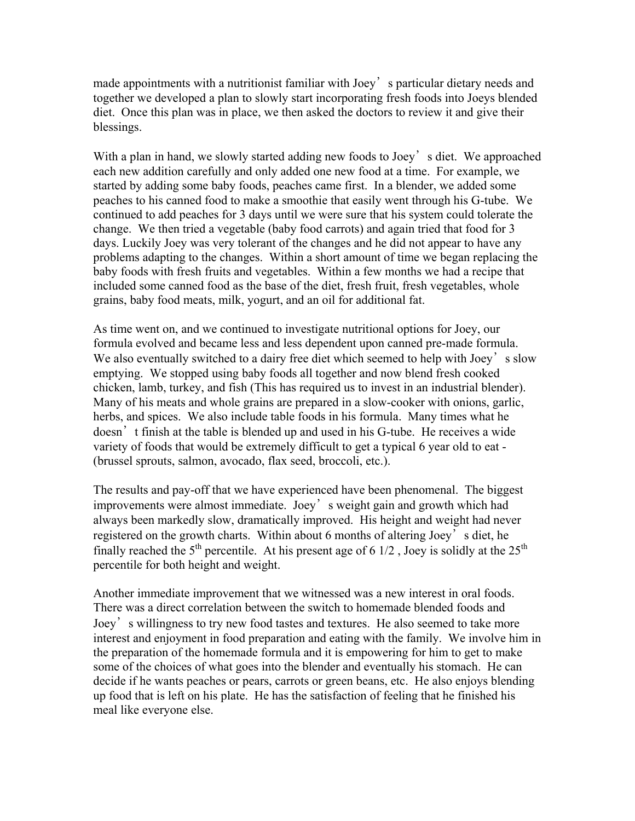made appointments with a nutritionist familiar with Joey's particular dietary needs and together we developed a plan to slowly start incorporating fresh foods into Joeys blended diet. Once this plan was in place, we then asked the doctors to review it and give their blessings.

With a plan in hand, we slowly started adding new foods to Joey's diet. We approached each new addition carefully and only added one new food at a time. For example, we started by adding some baby foods, peaches came first. In a blender, we added some peaches to his canned food to make a smoothie that easily went through his G-tube. We continued to add peaches for 3 days until we were sure that his system could tolerate the change. We then tried a vegetable (baby food carrots) and again tried that food for 3 days. Luckily Joey was very tolerant of the changes and he did not appear to have any problems adapting to the changes. Within a short amount of time we began replacing the baby foods with fresh fruits and vegetables. Within a few months we had a recipe that included some canned food as the base of the diet, fresh fruit, fresh vegetables, whole grains, baby food meats, milk, yogurt, and an oil for additional fat.

As time went on, and we continued to investigate nutritional options for Joey, our formula evolved and became less and less dependent upon canned pre-made formula. We also eventually switched to a dairy free diet which seemed to help with Joey's slow emptying. We stopped using baby foods all together and now blend fresh cooked chicken, lamb, turkey, and fish (This has required us to invest in an industrial blender). Many of his meats and whole grains are prepared in a slow-cooker with onions, garlic, herbs, and spices. We also include table foods in his formula. Many times what he doesn't finish at the table is blended up and used in his G-tube. He receives a wide variety of foods that would be extremely difficult to get a typical 6 year old to eat - (brussel sprouts, salmon, avocado, flax seed, broccoli, etc.).

The results and pay-off that we have experienced have been phenomenal. The biggest improvements were almost immediate. Joey's weight gain and growth which had always been markedly slow, dramatically improved. His height and weight had never registered on the growth charts. Within about 6 months of altering Joey's diet, he finally reached the  $5<sup>th</sup>$  percentile. At his present age of 6 1/2, Joey is solidly at the  $25<sup>th</sup>$ percentile for both height and weight.

Another immediate improvement that we witnessed was a new interest in oral foods. There was a direct correlation between the switch to homemade blended foods and Joey's willingness to try new food tastes and textures. He also seemed to take more interest and enjoyment in food preparation and eating with the family. We involve him in the preparation of the homemade formula and it is empowering for him to get to make some of the choices of what goes into the blender and eventually his stomach. He can decide if he wants peaches or pears, carrots or green beans, etc. He also enjoys blending up food that is left on his plate. He has the satisfaction of feeling that he finished his meal like everyone else.